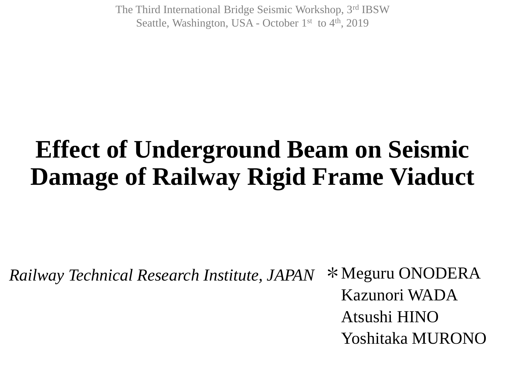The Third International Bridge Seismic Workshop, 3rd IBSW Seattle, Washington, USA - October  $1<sup>st</sup>$  to  $4<sup>th</sup>$ , 2019

### **Effect of Underground Beam on Seismic Damage of Railway Rigid Frame Viaduct**

\*Meguru ONODERA Kazunori WADA Atsushi HINO Yoshitaka MURONO *Railway Technical Research Institute, JAPAN*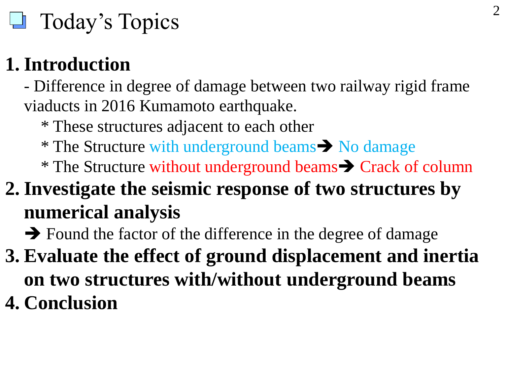### Today's Topics

### **1. Introduction**

- Difference in degree of damage between two railway rigid frame viaducts in 2016 Kumamoto earthquake.

\* These structures adjacent to each other

- \* The Structure with underground beams➔ No damage
- \* The Structure without underground beams➔ Crack of column

**2. Investigate the seismic response of two structures by numerical analysis**

➔ Found the factor of the difference in the degree of damage

- **3. Evaluate the effect of ground displacement and inertia on two structures with/without underground beams**
- **4. Conclusion**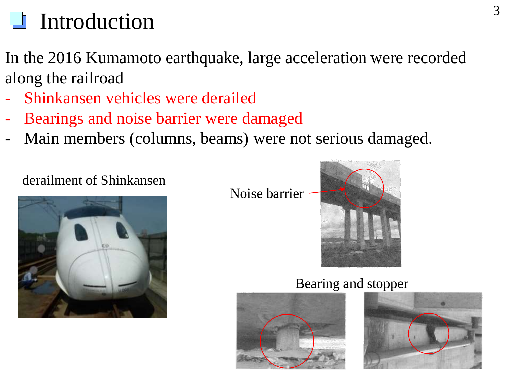In the 2016 Kumamoto earthquake, large acceleration were recorded along the railroad

- Shinkansen vehicles were derailed
- Bearings and noise barrier were damaged
- Main members (columns, beams) were not serious damaged.

### derailment of Shinkansen



Noise barrier



#### Bearing and stopper



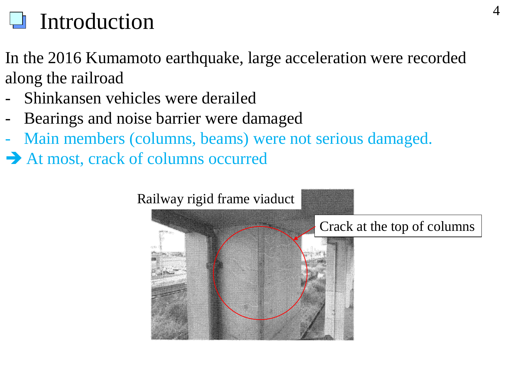In the 2016 Kumamoto earthquake, large acceleration were recorded along the railroad

- Shinkansen vehicles were derailed
- Bearings and noise barrier were damaged
- Main members (columns, beams) were not serious damaged.
- **→ At most, crack of columns occurred**

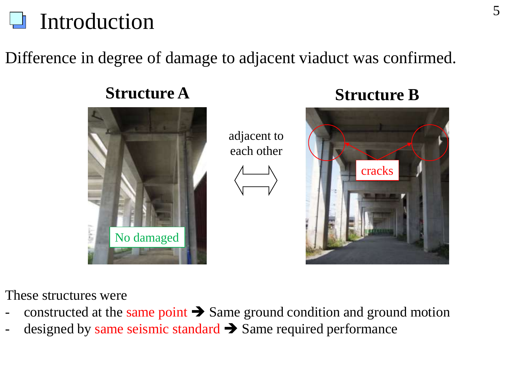Difference in degree of damage to adjacent viaduct was confirmed.

**Structure A** Structure B



adjacent to each other





These structures were

- constructed at the same point  $\rightarrow$  Same ground condition and ground motion
- designed by same seismic standard  $\rightarrow$  Same required performance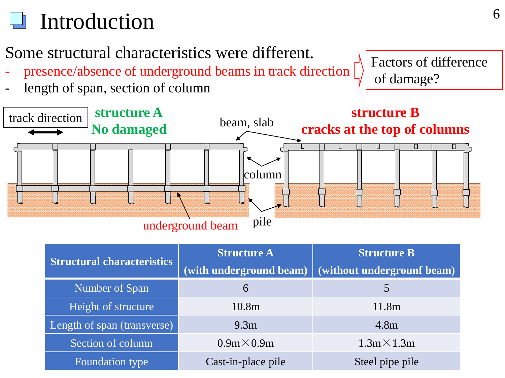Some structural characteristics were different.

- presence/absence of underground beams in track direction
- length of span, section of column

**structure A structure B** track direction beam, slab **No damaged cracks at the top of columns** Π п column pile underground beam

| <b>Structural characteristics</b> | <b>Structure A</b>      | <b>Structure B</b>         |  |
|-----------------------------------|-------------------------|----------------------------|--|
|                                   | (with underground beam) | (without undergrounf beam) |  |
| Number of Span                    | 6                       |                            |  |
| Height of structure               | 10.8 <sub>m</sub>       | 11.8m                      |  |
| Length of span (transverse)       | 9.3 <sub>m</sub>        | 4.8 <sub>m</sub>           |  |
| Section of column                 | $0.9m \times 0.9m$      | $1.3m \times 1.3m$         |  |
| Foundation type                   | Cast-in-place pile      | Steel pipe pile            |  |

Factors of difference of damage?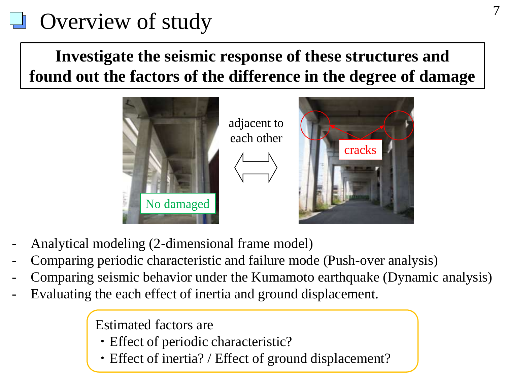### Overview of study

### **Investigate the seismic response of these structures and found out the factors of the difference in the degree of damage**





- Analytical modeling (2-dimensional frame model)
- Comparing periodic characteristic and failure mode (Push-over analysis)
- Comparing seismic behavior under the Kumamoto earthquake (Dynamic analysis)
- Evaluating the each effect of inertia and ground displacement.

Estimated factors are

- ・Effect of periodic characteristic?
- Effect of inertia? / Effect of ground displacement?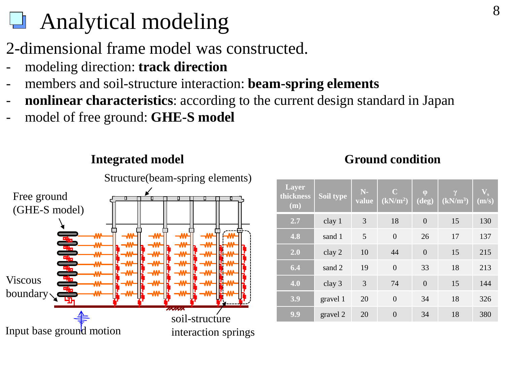### Analytical modeling

2-dimensional frame model was constructed.

- modeling direction: **track direction**
- members and soil-structure interaction: **beam-spring elements**
- **nonlinear characteristics**: according to the current design standard in Japan
- model of free ground: **GHE-S model**



#### **Integrated model**

#### **Ground condition**

| Layer<br>thickness<br>(m) | Soil type | $N-$<br>value | $\mathbf C$<br>$\overline{(\mathbf{k}N/m^2)}$ | $\phi$<br>$(\text{deg})$ | $\gamma$<br>(kN/m <sup>3</sup> ) | $\mathbf{V}_{\mathrm{s}}$<br>(m/s) |
|---------------------------|-----------|---------------|-----------------------------------------------|--------------------------|----------------------------------|------------------------------------|
| 2.7                       | clay 1    | 3             | 18                                            | $\overline{0}$           | 15                               | 130                                |
| 4.8                       | sand 1    | 5             | $\overline{0}$                                | 26                       | 17                               | 137                                |
| 2.0                       | clay 2    | 10            | 44                                            | $\theta$                 | 15                               | 215                                |
| 6.4                       | sand 2    | 19            | $\theta$                                      | 33                       | 18                               | 213                                |
| 4.0                       | clay 3    | 3             | 74                                            | $\overline{0}$           | 15                               | 144                                |
| 3.9                       | gravel 1  | 20            | $\overline{0}$                                | 34                       | 18                               | 326                                |
| 9.9                       | gravel 2  | 20            | $\overline{0}$                                | 34                       | 18                               | 380                                |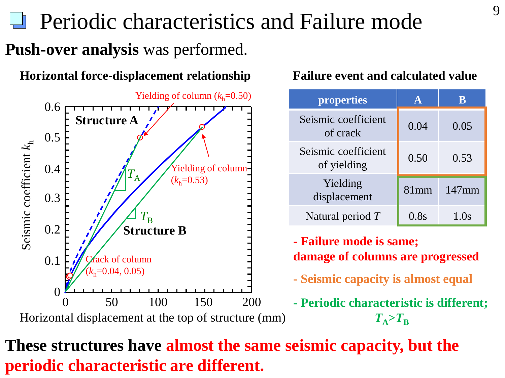### Periodic characteristics and Failure mode **Push-over analysis** was performed.



#### **Failure event and calculated value**

| properties                         | $\mathbf{A}$ | К        |
|------------------------------------|--------------|----------|
| Seismic coefficient<br>of crack    | 0.04         | 0.05     |
| Seismic coefficient<br>of yielding | 0.50         | 0.53     |
| Yielding<br>displacement           | $81$ mm      | $147$ mm |
| Natural period $T$                 | 0.8s         | 1.0s     |

**- Failure mode is same; damage of columns are progressed** 

- **- Seismic capacity is almost equal**
- **- Periodic characteristic is different;**  $T_A > T_B$

**These structures have almost the same seismic capacity, but the periodic characteristic are different.**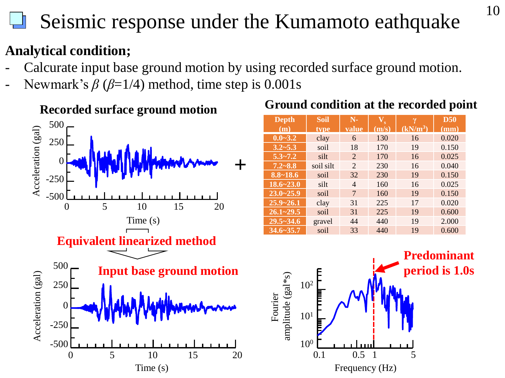### Seismic response under the Kumamoto eathquake

### **Analytical condition;**

- Calcurate input base ground motion by using recorded surface ground motion.
- Newmark's  $\beta$  ( $\beta$ =1/4) method, time step is 0.001s



#### **Ground condition at the recorded point**

| <b>Depth</b>  | <b>Soil</b> | $N-$           |       | $\gamma$             | <b>D50</b> |
|---------------|-------------|----------------|-------|----------------------|------------|
| (m)           | type        | value          | (m/s) | (kN/m <sup>3</sup> ) | (mm)       |
| $0.0 - 3.2$   | clay        | 6              | 130   | 16                   | 0.020      |
| $3.2 - 5.3$   | soil        | 18             | 170   | 19                   | 0.150      |
| $5.3 - 7.2$   | silt        | 2              | 170   | 16                   | 0.025      |
| $7.2 - 8.8$   | soil silt   | 2              | 230   | 16                   | 0.040      |
| $8.8 - 18.6$  | soil        | 32             | 230   | 19                   | 0.150      |
| $18.6 - 23.0$ | silt        | $\overline{4}$ | 160   | 16                   | 0.025      |
| $23.0 - 25.9$ | soil        | 7              | 160   | 19                   | 0.150      |
| $25.9 - 26.1$ | clay        | 31             | 225   | 17                   | 0.020      |
| $26.1 - 29.5$ | soil        | 31             | 225   | 19                   | 0.600      |
| $29.5 - 34.6$ | gravel      | 44             | 440   | 19                   | 2.000      |
| $34.6 - 35.7$ | soil        | 33             | 440   | 19                   | 0.600      |

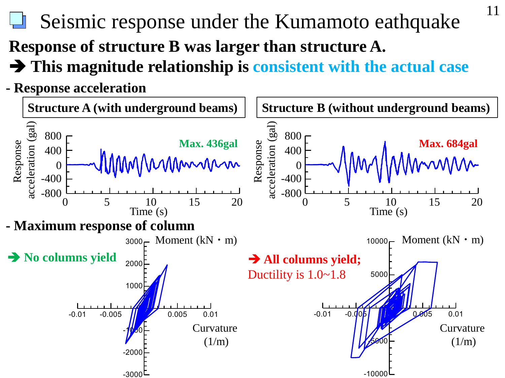Seismic response under the Kumamoto eathquake **Response of structure B was larger than structure A.** ➔ **This magnitude relationship is consistent with the actual case**

11

**- Response acceleration**

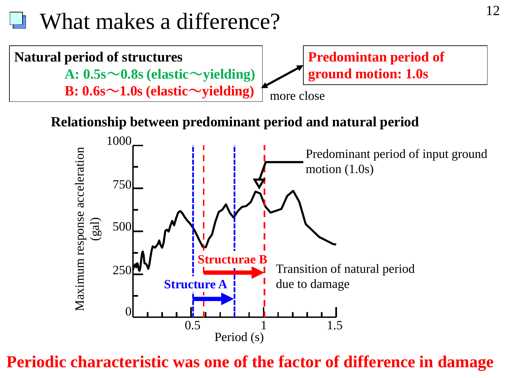#### 12 What makes a difference? **Natural period of structures Predomintan period of ground motion: 1.0s A: 0.5s**~**0.8s (elastic**~**yielding) B: 0.6s**~**1.0s (elastic**~**yielding)** more close**Relationship between predominant period and natural period** 1000 1000 Maximum response acceleration 加速度応答スペクトル(gal) Maximum response acceleration Predominant period of input ground motion (1.0s) 750 750 (gal) 500 500 **Structurae** Transition of natural period 250 250 **Structure A** due to damage 0  $\overline{0}$  $0.5$  1 1.5 0.5  $\frac{1}{\text{Period (s)}}$  1.5 Period (s)

 $\frac{1}{3}$ **Periodic characteristic was one of the factor of difference in damage**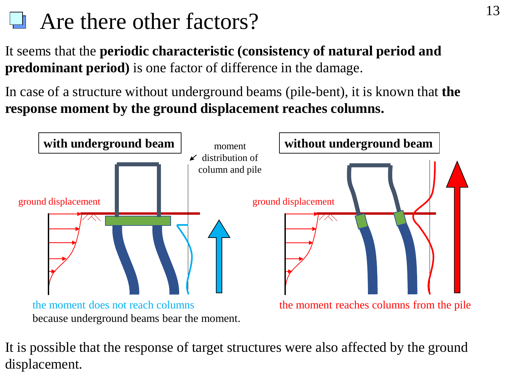### **Are there other factors?**

It seems that the **periodic characteristic (consistency of natural period and predominant period)** is one factor of difference in the damage.

In case of a structure without underground beams (pile-bent), it is known that **the response moment by the ground displacement reaches columns.**



It is possible that the response of target structures were also affected by the ground displacement.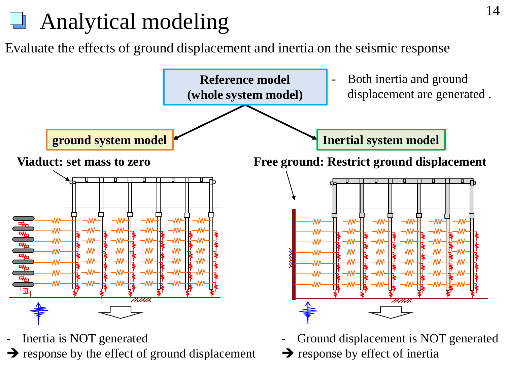### Analytical modeling

Evaluate the effects of ground displacement and inertia on the seismic response



- **→** response by the effect of ground displacement
- **→** response by effect of inertia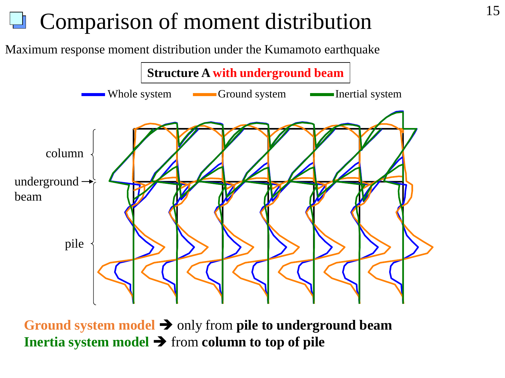# Comparison of moment distribution 15

Maximum response moment distribution under the Kumamoto earthquake



Ground system model → only from  $\frac{1}{2}$  from **n pile to underground beam**  $\mathbf u$ **Inertia system model** ➔ from **column to top of pile**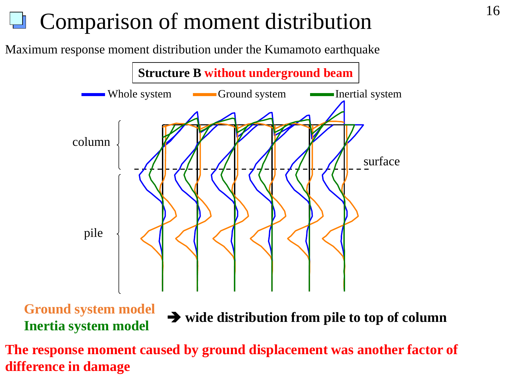# Comparison of moment distribution 16

Maximum response moment distribution under the Kumamoto earthquake



**The response moment caused by ground displacement was another factor of difference in damage**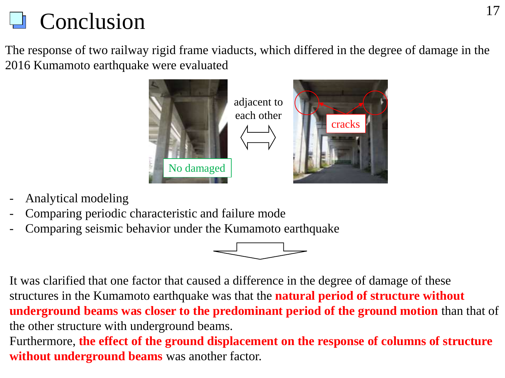## 17

The response of two railway rigid frame viaducts, which differed in the degree of damage in the 2016 Kumamoto earthquake were evaluated

![](_page_16_Picture_2.jpeg)

- Analytical modeling
- Comparing periodic characteristic and failure mode
- Comparing seismic behavior under the Kumamoto earthquake

![](_page_16_Figure_6.jpeg)

It was clarified that one factor that caused a difference in the degree of damage of these structures in the Kumamoto earthquake was that the **natural period of structure without underground beams was closer to the predominant period of the ground motion** than that of the other structure with underground beams.

Furthermore, **the effect of the ground displacement on the response of columns of structure without underground beams** was another factor.